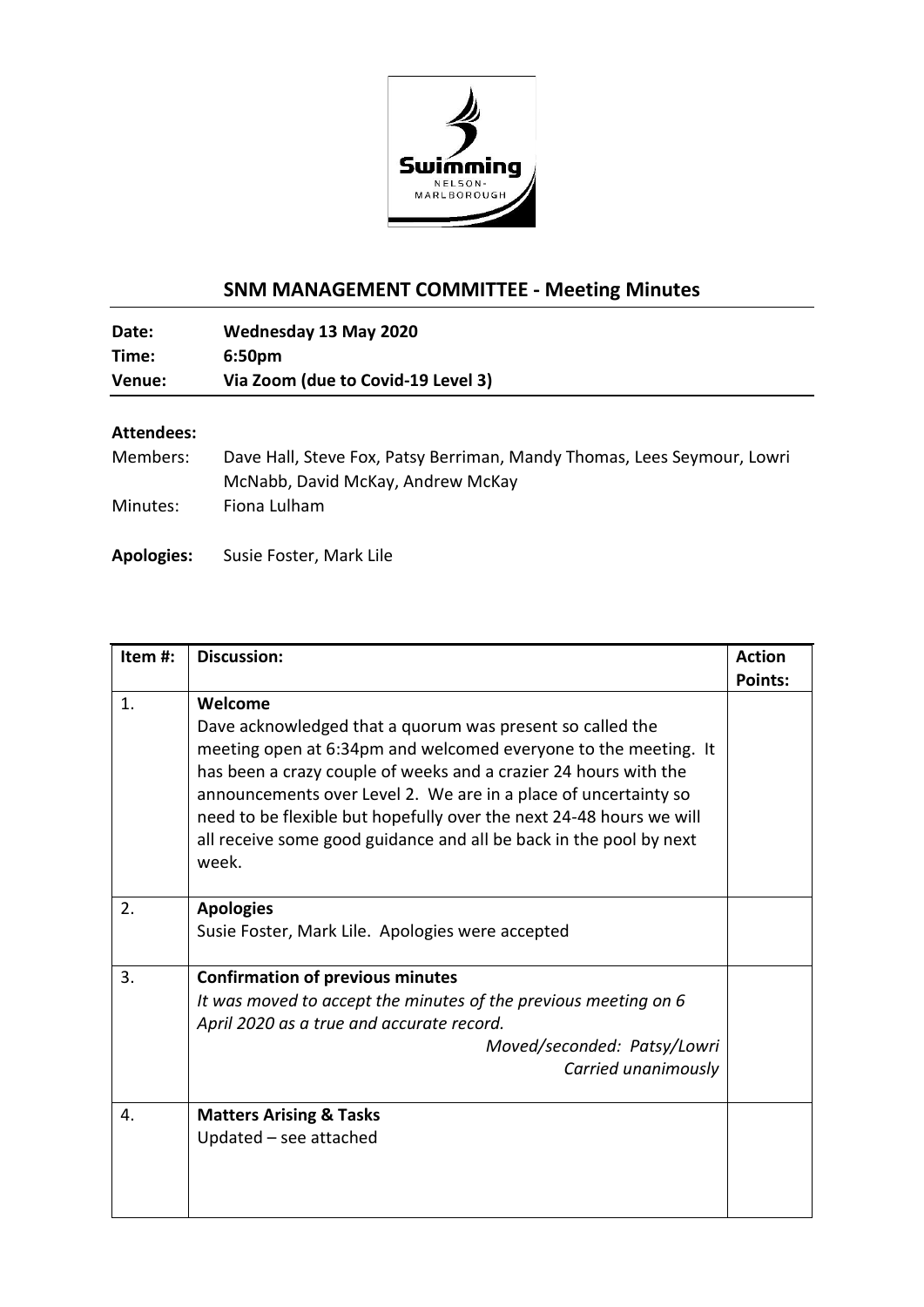

## **SNM MANAGEMENT COMMITTEE - Meeting Minutes**

| Date:  | Wednesday 13 May 2020              |
|--------|------------------------------------|
| Time:  | 6:50 <sub>pm</sub>                 |
| Venue: | Via Zoom (due to Covid-19 Level 3) |

## **Attendees:**

| Members: | Dave Hall, Steve Fox, Patsy Berriman, Mandy Thomas, Lees Seymour, Lowri |
|----------|-------------------------------------------------------------------------|
|          | McNabb, David McKay, Andrew McKay                                       |
| Minutes: | Fiona Lulham                                                            |

## **Apologies:** Susie Foster, Mark Lile

| Item#: | <b>Discussion:</b>                                                  | <b>Action</b>  |
|--------|---------------------------------------------------------------------|----------------|
|        |                                                                     | <b>Points:</b> |
| 1.     | Welcome                                                             |                |
|        | Dave acknowledged that a quorum was present so called the           |                |
|        | meeting open at 6:34pm and welcomed everyone to the meeting. It     |                |
|        | has been a crazy couple of weeks and a crazier 24 hours with the    |                |
|        | announcements over Level 2. We are in a place of uncertainty so     |                |
|        | need to be flexible but hopefully over the next 24-48 hours we will |                |
|        | all receive some good guidance and all be back in the pool by next  |                |
|        | week.                                                               |                |
|        |                                                                     |                |
| 2.     | <b>Apologies</b>                                                    |                |
|        | Susie Foster, Mark Lile. Apologies were accepted                    |                |
|        |                                                                     |                |
| 3.     | <b>Confirmation of previous minutes</b>                             |                |
|        | It was moved to accept the minutes of the previous meeting on 6     |                |
|        | April 2020 as a true and accurate record.                           |                |
|        | Moved/seconded: Patsy/Lowri                                         |                |
|        | Carried unanimously                                                 |                |
| 4.     | <b>Matters Arising &amp; Tasks</b>                                  |                |
|        | Updated - see attached                                              |                |
|        |                                                                     |                |
|        |                                                                     |                |
|        |                                                                     |                |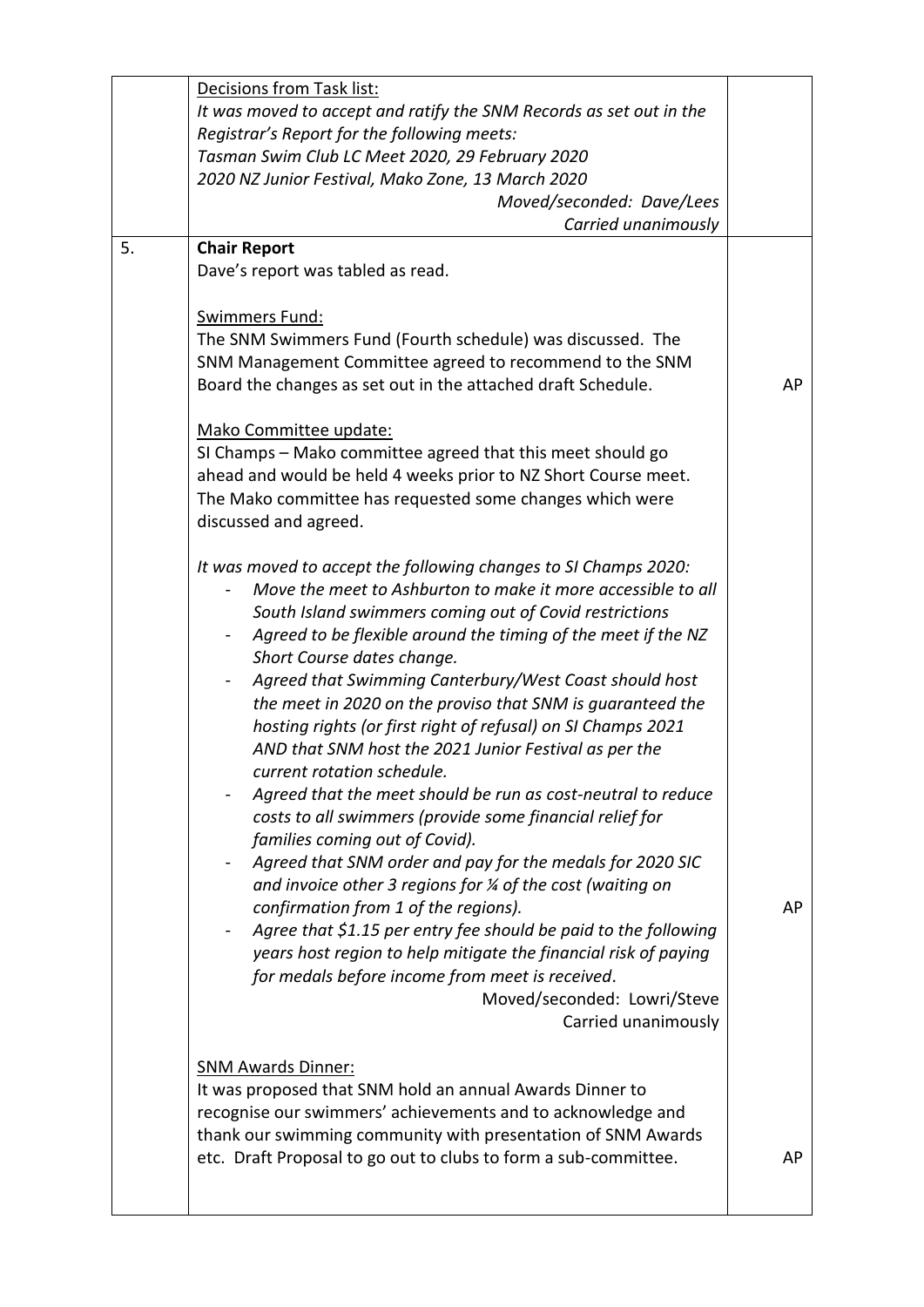|    | Decisions from Task list:                                             |    |
|----|-----------------------------------------------------------------------|----|
|    | It was moved to accept and ratify the SNM Records as set out in the   |    |
|    | Registrar's Report for the following meets:                           |    |
|    | Tasman Swim Club LC Meet 2020, 29 February 2020                       |    |
|    | 2020 NZ Junior Festival, Mako Zone, 13 March 2020                     |    |
|    | Moved/seconded: Dave/Lees                                             |    |
|    | Carried unanimously                                                   |    |
| 5. | <b>Chair Report</b>                                                   |    |
|    | Dave's report was tabled as read.                                     |    |
|    |                                                                       |    |
|    | Swimmers Fund:                                                        |    |
|    | The SNM Swimmers Fund (Fourth schedule) was discussed. The            |    |
|    | SNM Management Committee agreed to recommend to the SNM               |    |
|    | Board the changes as set out in the attached draft Schedule.          | AP |
|    |                                                                       |    |
|    | Mako Committee update:                                                |    |
|    | SI Champs - Mako committee agreed that this meet should go            |    |
|    | ahead and would be held 4 weeks prior to NZ Short Course meet.        |    |
|    | The Mako committee has requested some changes which were              |    |
|    | discussed and agreed.                                                 |    |
|    |                                                                       |    |
|    | It was moved to accept the following changes to SI Champs 2020:       |    |
|    | Move the meet to Ashburton to make it more accessible to all          |    |
|    | South Island swimmers coming out of Covid restrictions                |    |
|    | Agreed to be flexible around the timing of the meet if the NZ         |    |
|    | Short Course dates change.                                            |    |
|    | Agreed that Swimming Canterbury/West Coast should host                |    |
|    | the meet in 2020 on the proviso that SNM is guaranteed the            |    |
|    | hosting rights (or first right of refusal) on SI Champs 2021          |    |
|    | AND that SNM host the 2021 Junior Festival as per the                 |    |
|    | current rotation schedule.                                            |    |
|    | Agreed that the meet should be run as cost-neutral to reduce          |    |
|    | costs to all swimmers (provide some financial relief for              |    |
|    | families coming out of Covid).                                        |    |
|    | Agreed that SNM order and pay for the medals for 2020 SIC             |    |
|    | and invoice other 3 regions for $\frac{1}{4}$ of the cost (waiting on |    |
|    | confirmation from 1 of the regions).                                  | AP |
|    | Agree that \$1.15 per entry fee should be paid to the following       |    |
|    | years host region to help mitigate the financial risk of paying       |    |
|    | for medals before income from meet is received.                       |    |
|    | Moved/seconded: Lowri/Steve                                           |    |
|    | Carried unanimously                                                   |    |
|    |                                                                       |    |
|    | <b>SNM Awards Dinner:</b>                                             |    |
|    | It was proposed that SNM hold an annual Awards Dinner to              |    |
|    | recognise our swimmers' achievements and to acknowledge and           |    |
|    | thank our swimming community with presentation of SNM Awards          |    |
|    | etc. Draft Proposal to go out to clubs to form a sub-committee.       | AP |
|    |                                                                       |    |
|    |                                                                       |    |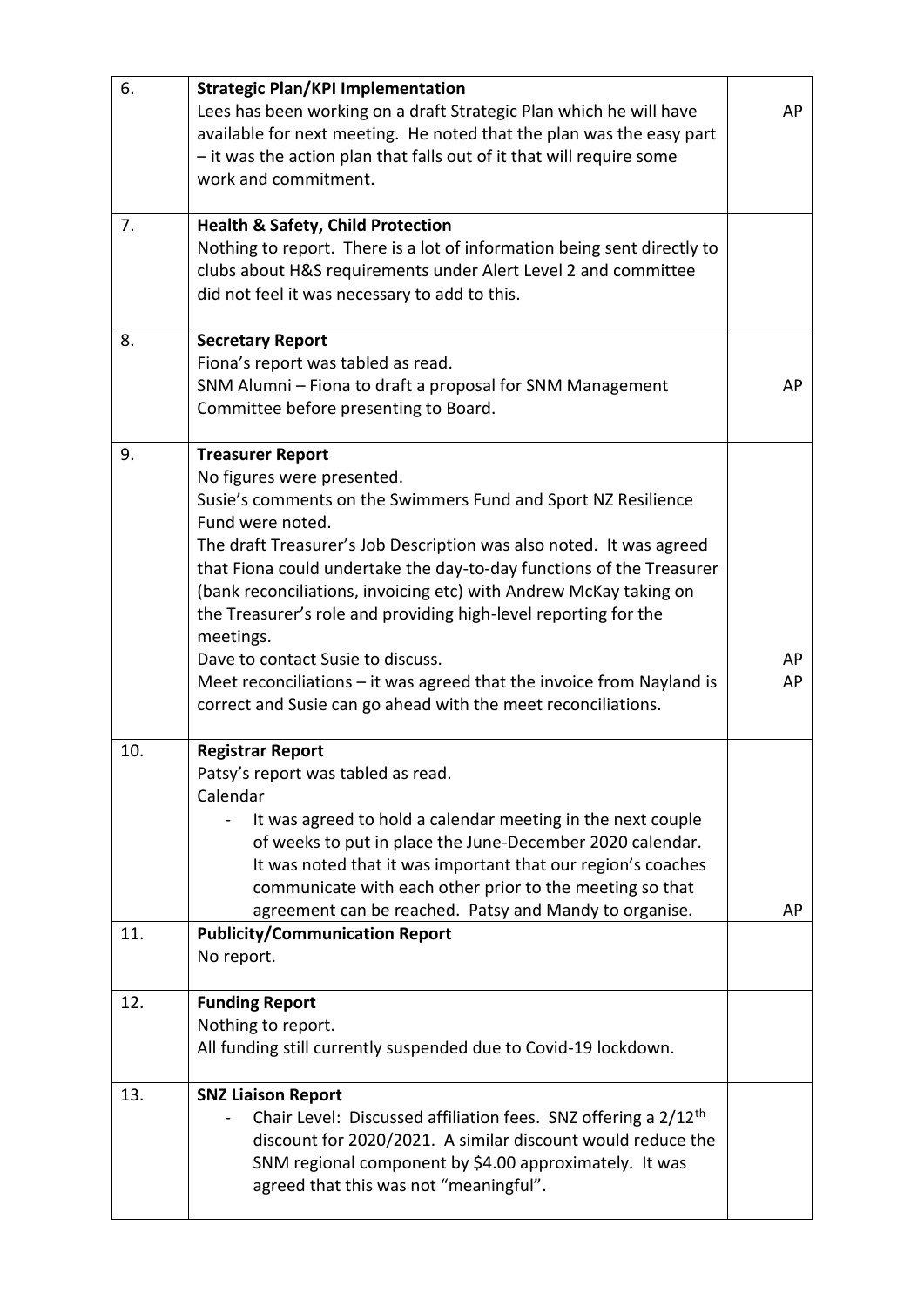| 6.         | <b>Strategic Plan/KPI Implementation</b><br>Lees has been working on a draft Strategic Plan which he will have<br>available for next meeting. He noted that the plan was the easy part<br>- it was the action plan that falls out of it that will require some<br>work and commitment.                                                                                                                                                                                                                                                                                                                                          | AP       |
|------------|---------------------------------------------------------------------------------------------------------------------------------------------------------------------------------------------------------------------------------------------------------------------------------------------------------------------------------------------------------------------------------------------------------------------------------------------------------------------------------------------------------------------------------------------------------------------------------------------------------------------------------|----------|
| 7.         | <b>Health &amp; Safety, Child Protection</b><br>Nothing to report. There is a lot of information being sent directly to<br>clubs about H&S requirements under Alert Level 2 and committee<br>did not feel it was necessary to add to this.                                                                                                                                                                                                                                                                                                                                                                                      |          |
| 8.         | <b>Secretary Report</b><br>Fiona's report was tabled as read.<br>SNM Alumni - Fiona to draft a proposal for SNM Management<br>Committee before presenting to Board.                                                                                                                                                                                                                                                                                                                                                                                                                                                             | AP       |
| 9.         | <b>Treasurer Report</b><br>No figures were presented.<br>Susie's comments on the Swimmers Fund and Sport NZ Resilience<br>Fund were noted.<br>The draft Treasurer's Job Description was also noted. It was agreed<br>that Fiona could undertake the day-to-day functions of the Treasurer<br>(bank reconciliations, invoicing etc) with Andrew McKay taking on<br>the Treasurer's role and providing high-level reporting for the<br>meetings.<br>Dave to contact Susie to discuss.<br>Meet reconciliations $-$ it was agreed that the invoice from Nayland is<br>correct and Susie can go ahead with the meet reconciliations. | AP<br>AP |
| 10.<br>11. | <b>Registrar Report</b><br>Patsy's report was tabled as read.<br>Calendar<br>It was agreed to hold a calendar meeting in the next couple<br>of weeks to put in place the June-December 2020 calendar.<br>It was noted that it was important that our region's coaches<br>communicate with each other prior to the meeting so that<br>agreement can be reached. Patsy and Mandy to organise.<br><b>Publicity/Communication Report</b>                                                                                                                                                                                            | AP       |
|            | No report.                                                                                                                                                                                                                                                                                                                                                                                                                                                                                                                                                                                                                      |          |
| 12.        | <b>Funding Report</b><br>Nothing to report.<br>All funding still currently suspended due to Covid-19 lockdown.                                                                                                                                                                                                                                                                                                                                                                                                                                                                                                                  |          |
| 13.        | <b>SNZ Liaison Report</b><br>Chair Level: Discussed affiliation fees. SNZ offering a 2/12 <sup>th</sup><br>discount for 2020/2021. A similar discount would reduce the<br>SNM regional component by \$4.00 approximately. It was<br>agreed that this was not "meaningful".                                                                                                                                                                                                                                                                                                                                                      |          |